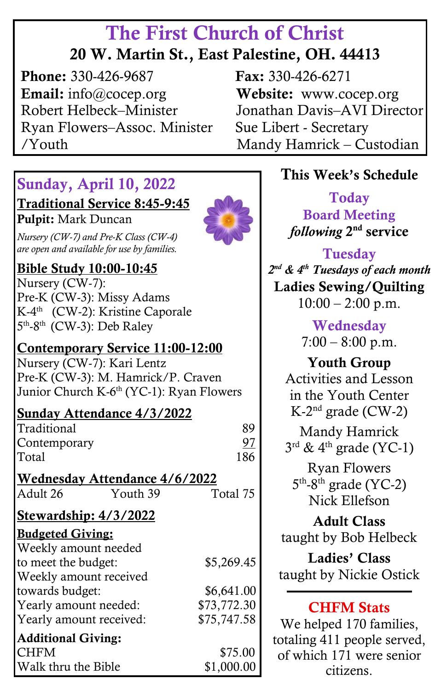# The First Church of Christ

### 20 W. Martin St., East Palestine, OH. 44413

**Phone:** 330-426-9687 **Fax:** 330-426-6271 Email: info@cocep.org Website: www.cocep.org Robert Helbeck–Minister Jonathan Davis–AVI Director Ryan Flowers–Assoc. Minister Sue Libert - Secretary /Youth Mandy Hamrick – Custodian ٦

#### Sunday, April 10, 2022

Traditional Service 8:45-9:45

Pulpit: Mark Duncan

 *are open and available for use by families. Nursery (CW-7) and Pre-K Class (CW-4)*



#### Bible Study 10:00-10:45

Nursery (CW-7): Pre-K (CW-3): Missy Adams K-4<sup>th</sup> (CW-2): Kristine Caporale 5<sup>th</sup>-8<sup>th</sup> (CW-3): Deb Raley

#### Contemporary Service 11:00-12:00

Nursery (CW-7): Kari Lentz Pre-K (CW-3): M. Hamrick/P. Craven Junior Church K-6<sup>th</sup> (YC-1): Ryan Flowers

#### Sunday Attendance 4/3/2022

|                           | <u> Dunuay Ixteenuunce 17 D7 2022</u> |             |
|---------------------------|---------------------------------------|-------------|
| Traditional               |                                       | 89          |
| Contemporary              |                                       | 97          |
| Total                     |                                       | 186         |
|                           | <b>Wednesday Attendance 4/6/2022</b>  |             |
| Adult 26                  | Youth 39                              | Total 75    |
| Stewardship: 4/3/2022     |                                       |             |
| <b>Budgeted Giving:</b>   |                                       |             |
| Weekly amount needed      |                                       |             |
| to meet the budget:       |                                       | \$5,269.45  |
| Weekly amount received    |                                       |             |
| towards budget:           |                                       | \$6,641.00  |
| Yearly amount needed:     |                                       | \$73,772.30 |
| Yearly amount received:   |                                       | \$75,747.58 |
| <b>Additional Giving:</b> |                                       |             |
| <b>CHFM</b>               |                                       | \$75.00     |

Walk thru the Bible \$1,000.00

٦

#### This Week's Schedule

Today Board Meeting *following* 2<sup>nd</sup> service

Tuesday *2 nd & 4th Tuesdays of each month* Ladies Sewing/Quilting  $10:00 - 2:00$  p.m.

> Wednesday  $7:00 - 8:00$  p.m.

Youth Group Activities and Lesson in the Youth Center K-2 nd grade (CW-2)

Mandy Hamrick  $3^{\text{rd}}$  & 4<sup>th</sup> grade (YC-1)

Ryan Flowers  $5<sup>th</sup>$ -8<sup>th</sup> grade (YC-2) Nick Ellefson

Adult Class taught by Bob Helbeck

Ladies' Class taught by Nickie Ostick

#### **CHFM Stats**

We helped 170 families, totaling 411 people served, of which 171 were senior citizens.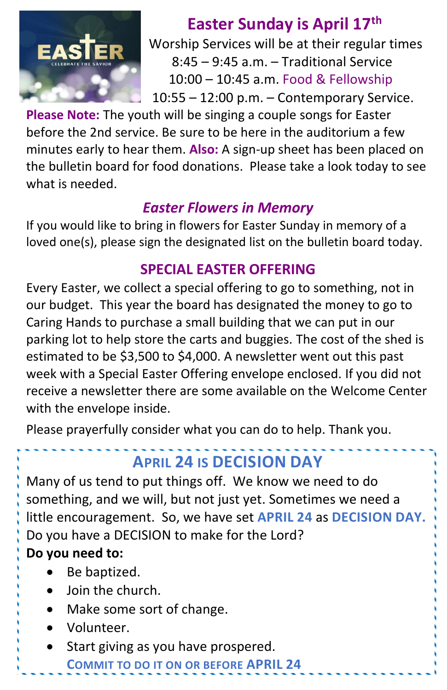

 **Easter Sunday is April 17th** Worship Services will be at their regular times 8:45 – 9:45 a.m. – Traditional Service 10:00 – 10:45 a.m. Food & Fellowship 10:55 – 12:00 p.m. – Contemporary Service.

**Please Note:** The youth will be singing a couple songs for Easter before the 2nd service. Be sure to be here in the auditorium a few minutes early to hear them. **Also:** A sign-up sheet has been placed on the bulletin board for food donations. Please take a look today to see what is needed.

#### *Easter Flowers in Memory*

 loved one(s), please sign the designated list on the bulletin board today. If you would like to bring in flowers for Easter Sunday in memory of a

#### **SPECIAL EASTER OFFERING**

 estimated to be \$3,500 to \$4,000. A newsletter went out this past Every Easter, we collect a special offering to go to something, not in our budget. This year the board has designated the money to go to Caring Hands to purchase a small building that we can put in our parking lot to help store the carts and buggies. The cost of the shed is week with a Special Easter Offering envelope enclosed. If you did not receive a newsletter there are some available on the Welcome Center with the envelope inside.

Please prayerfully consider what you can do to help. Thank you.

# **APRIL 24 IS DECISION DAY**

Many of us tend to put things off. We know we need to do something, and we will, but not just yet. Sometimes we need a little encouragement. So, we have set **APRIL 24** as **DECISION DAY.**  Do you have a DECISION to make for the Lord?

#### **Do you need to:**

- Be baptized.
- Join the church.
- Make some sort of change.
- Volunteer.
- Start giving as you have prospered.

**COMMIT TO DO IT ON OR BEFORE APRIL 24**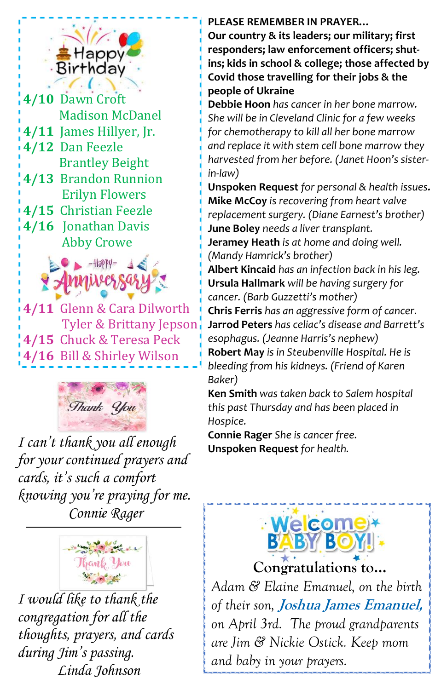

 **4/11** James Hillyer, Jr. **4/10** Dawn Croft Madison McDanel **4/12** Dan Feezle Brantley Beight **4/13** Brandon Runnion Erilyn Flowers **4/15** Christian Feezle **4/16** Jonathan Davis Abby Crowe



**4/11** Glenn & Cara Dilworth Tyler & Brittany Jepson **4/15** Chuck & Teresa Peck **4/16** Bill & Shirley Wilson



*I can't thank you all enough for your continued prayers and cards, it's such a comfort knowing you're praying for me. Connie Rager*



*I would like to thank the congregation for all the thoughts, prayers, and cards during Jim's passing. Linda Johnson*

#### **PLEASE REMEMBER IN PRAYER…**

**Our country & its leaders; our military; first responders; law enforcement officers; shutins; kids in school & college; those affected by Covid those travelling for their jobs & the people of Ukraine**

**Debbie Hoon** *has cancer in her bone marrow. She will be in Cleveland Clinic for a few weeks for chemotherapy to kill all her bone marrow and replace it with stem cell bone marrow they harvested from her before. (Janet Hoon's sisterin-law)*

**Unspoken Request** *for personal & health issues.* **Mike McCoy** *is recovering from heart valve replacement surgery. (Diane Earnest's brother)* **June Boley** *needs a liver transplant.*

**Jeramey Heath** *is at home and doing well. (Mandy Hamrick's brother)*

**Albert Kincaid** *has an infection back in his leg.* **Ursula Hallmark** *will be having surgery for cancer. (Barb Guzzetti's mother)*

**Chris Ferris** *has an aggressive form of cancer.* **Jarrod Peters** *has celiac's disease and Barrett's esophagus. (Jeanne Harris's nephew)* **Robert May** *is in Steubenville Hospital. He is bleeding from his kidneys. (Friend of Karen Baker)*

**Ken Smith** *was taken back to Salem hospital this past Thursday and has been placed in Hospice.* 

**Connie Rager** *She is cancer free.* **Unspoken Request** *for health.*



**Congratulations to…**

*Adam & Elaine Emanuel, on the birth of their son,* **Joshua James Emanuel,** *on April 3rd. The proud grandparents are Jim & Nickie Ostick. Keep mom and baby in your prayers.*